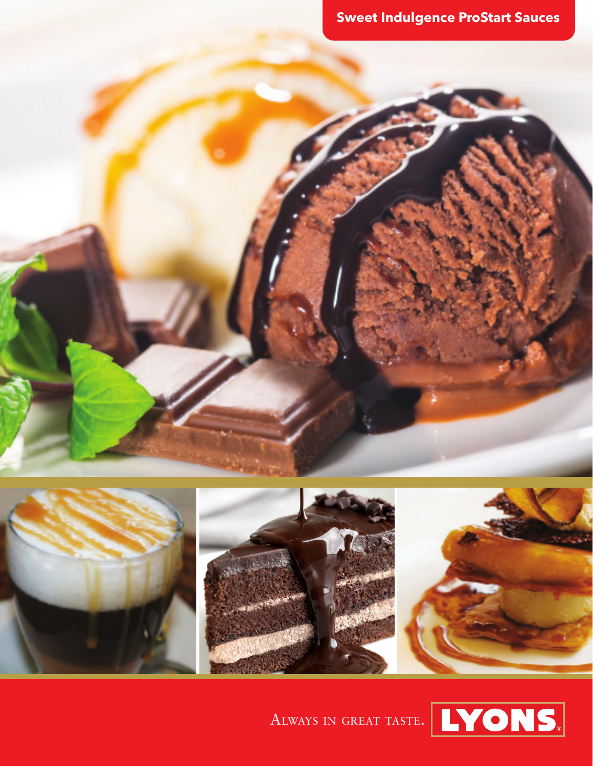